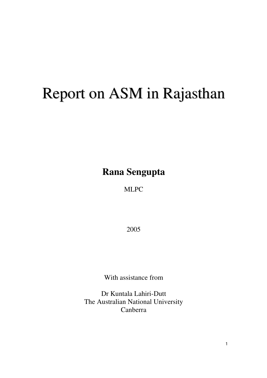# Report on ASM in Rajasthan

**Rana Sengupta** 

MLPC

2005

With assistance from

Dr Kuntala Lahiri-Dutt The Australian National University Canberra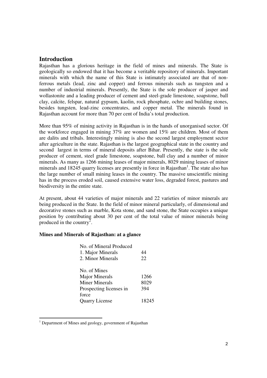# **Introduction**

Rajasthan has a glorious heritage in the field of mines and minerals. The State is geologically so endowed that it has become a veritable repository of minerals. Important minerals with which the name of this State is intimately associated are that of nonferrous metals (lead, zinc and copper) and ferrous minerals such as tungsten and a number of industrial minerals. Presently, the State is the sole producer of jasper and wollastonite and a leading producer of cement and steel-grade limestone, soapstone, ball clay, calcite, felspar, natural gypsum, kaolin, rock phosphate, ochre and building stones, besides tungsten, lead-zinc concentrates, and copper metal. The minerals found in Rajasthan account for more than 70 per cent of India's total production.

More than 95% of mining activity in Rajasthan is in the hands of unorganised sector. Of the workforce engaged in mining 37% are women and 15% are children. Most of them are dalits and tribals. Interestingly mining is also the second largest employment sector after agriculture in the state. Rajasthan is the largest geographical state in the country and second largest in terms of mineral deposits after Bihar. Presently, the state is the sole producer of cement, steel grade limestone, soapstone, ball clay and a number of minor minerals. As many as 1266 mining leases of major minerals, 8029 mining leases of minor minerals and 18245 quarry licenses are presently in force in Rajasthan<sup>1</sup>. The state also has the large number of small mining leases in the country. The massive unscientific mining has in the process eroded soil, caused extensive water loss, degraded forest, pastures and biodiversity in the entire state.

At present, about 44 varieties of major minerals and 22 varieties of minor minerals are being produced in the State. In the field of minor mineral particularly, of dimensional and decorative stones such as marble, Kota stone, and sand stone, the State occupies a unique position by contributing about 30 per cent of the total value of minor minerals being produced in the country<sup>2</sup>.

#### **Mines and Minerals of Rajasthan: at a glance**

| No. of Mineral Produced |       |
|-------------------------|-------|
| 1. Major Minerals       | 44    |
| 2. Minor Minerals       | 22    |
| No. of Mines            |       |
| <b>Major Minerals</b>   | 1266  |
| <b>Miner Minerals</b>   | 8029  |
| Prospecting licenses in | 394   |
| force                   |       |
| <b>Quarry License</b>   | 18245 |

<sup>&</sup>lt;sup>1</sup> Department of Mines and geology, government of Rajasthan

l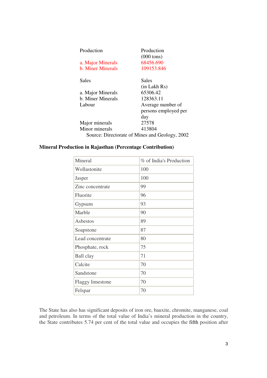| Production                                     | Production           |
|------------------------------------------------|----------------------|
|                                                | $(000 \text{ tons})$ |
| a. Major Minerals                              | 68456.690            |
| b. Miner Minerals                              | 109153.846           |
| Sales                                          | Sales                |
|                                                | $(in$ Lakh $Rs)$     |
| a. Major Minerals                              | 65306.42             |
| b. Miner Minerals                              | 128363.11            |
| Labour                                         | Average number of    |
|                                                | persons employed per |
|                                                | day                  |
| Major minerals                                 | 27578                |
| Minor minerals                                 | 413804               |
| Source: Directorate of Mines and Geology, 2002 |                      |

#### **Mineral Production in Rajasthan (Percentage Contribution)**

| Mineral                 | % of India's Production |
|-------------------------|-------------------------|
| Wollastonite            | 100                     |
| Jasper                  | 100                     |
| Zinc concentrate        | 99                      |
| Fluorite                | 96                      |
| Gypsum                  | 93                      |
| Marble                  | 90                      |
| Asbestos                | 89                      |
| Soapstone               | 87                      |
| Lead concentrate        | 80                      |
| Phosphate, rock         | 75                      |
| Ball clay               | 71                      |
| Calcite                 | 70                      |
| Sandstone               | 70                      |
| <b>Flaggy limestone</b> | 70                      |
| Felspar                 | 70                      |

The State has also has significant deposits of iron ore, bauxite, chromite, manganese, coal and petroleum. In terms of the total value of India's mineral production in the country, the State contributes 5.74 per cent of the total value and occupies the fifth position after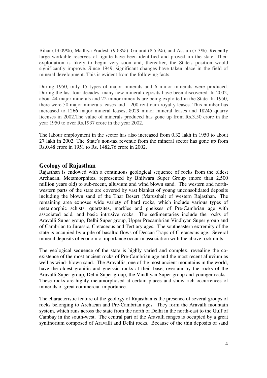Bihar (13.09%), Madhya Pradesh (9.68%), Gujarat (8.55%), and Assam (7.3%). Recently large workable reserves of lignite have been identified and proved im the state. Their exploitation is likely to begin very soon and, thereafter, the State's position would significantly improve. Since 1949, significant changes have taken place in the field of mineral development. This is evident from the following facts:

During 1950, only 15 types of major minerals and 6 minor minerals were produced. During the last four decades, many new mineral deposits have been discovered. In 2002, about 44 major minerals and 22 minor minerals are being exploited in the State. In 1950, there were 50 major minerals leases and 1,200 rent-cum-royalty leases. This number has increased to 1266 major mineral leases, 8029 minor mineral leases and 18245 quarry licenses in 2002.The value of minerals produced has gone up from Rs.3.50 crore in the year 1950 to over Rs.1937 crore in the year 2002.

The labour employment in the sector has also increased from 0.32 lakh in 1950 to about 27 lakh in 2002. The State's non-tax revenue from the mineral sector has gone up from Rs.0.48 crore in 1951 to Rs. 1482.76 crore in 2002.

# **Geology of Rajasthan**

Rajasthan is endowed with a continuous geological sequence of rocks from the oldest Archaean, Metamorphites, represented by Bhilwara Super Group (more than 2,500 million years old) to sub-recent, alluvium and wind blown sand. The western and northwestern parts of the state are covered by vast blanket of young unconsolidated deposits including the blown sand of the Thar Desert (Marusthal) of western Rajasthan. The remaining area exposes wide variety of hard rocks, which include various types of metamorphic schists, quartzites, marbles and gneisses of Pre-Cambrian age with associated acid, and basic intrusive rocks. The sedimentaries include the rocks of Aravalli Super group, Delhi Super group, Upper Precambrian Vindhyan Super group and of Cambrian to Jurassic, Cretaceous and Tertiary ages. The southeastern extremity of the state is occupied by a pile of basaltic flows of Deccan Traps of Cretaceous age. Several mineral deposits of economic importance occur in association with the above rock units.

The geological sequence of the state is highly varied and complex, revealing the coexistence of the most ancient rocks of Pre-Cambrian age and the most recent alluvium as well as wind- blown sand. The Aravallis, one of the most ancient mountains in the world, have the oldest granitic and gneissic rocks at their base, overlain by the rocks of the Aravalli Super group, Delhi Super group, the Vindhyan Super group and younger rocks. These rocks are highly metamorphosed at certain places and show rich occurrences of minerals of great commercial importance.

The characteristic feature of the geology of Rajasthan is the presence of several groups of rocks belonging to Archaean and Pre-Cambrian ages. They form the Aravalli mountain system, which runs across the state from the north of Delhi in the north-east to the Gulf of Cambay in the south-west. The central part of the Aravalli ranges is occupied by a great synlinorium composed of Aravalli and Delhi rocks. Because of the thin deposits of sand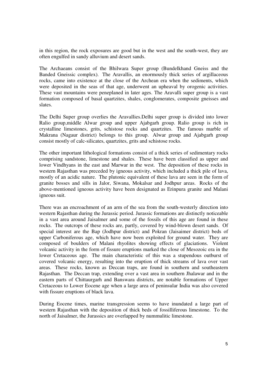in this region, the rock exposures are good but in the west and the south-west, they are often engulfed in sandy alluvium and desert sands.

The Archaeans consist of the Bhilwara Super group (Bundelkhand Gneiss and the Banded Gneissic complex). The Aravallis, an enormously thick series of argillaceous rocks, came into existence at the close of the Archean era when the sediments, which were deposited in the seas of that age, underwent an upheaval by orogenic activities. These vast mountains were peneplaned in later ages. The Aravalli super group is a vast formation composed of basal quartzites, shales, conglomerates, composite gneisses and slates.

The Delhi Super group overlies the Aravallies.Delhi super group is divided into lower Ralio group,middle Alwar group and upper Ajabgarh group. Ralio group is rich in crystalline limestones, grits, schistose rocks and quartzites. The famous marble of Makrana (Nagaur district) belongs to this group. Alwar group and Ajabgarh group consist mostly of calc-silicates, quartzites, grits and schistose rocks.

The other important lithological formations consist of a thick series of sedimentary rocks comprising sandstone, limestone and shales. These have been classified as upper and lower Vindhyans in the east and Marwar in the west. The deposition of these rocks in western Rajasthan was preceded by igneous activity, which included a thick pile of lava, mostly of an acidic nature. The plutonic equivalent of these lava are seen in the form of granite bosses and sills in Jalor, Siwana, Mokalsar and Jodhpur areas. Rocks of the above-mentioned igneous activity have been designated as Erinpura granite and Malani igneous suit.

There was an encroachment of an arm of the sea from the south-westerly direction into western Rajasthan during the Jurassic period. Jurassic formations are distinctly noticeable in a vast area around Jaisalmer and some of the fossils of this age are found in these rocks. The outcrops of these rocks are, partly, covered by wind-blown desert sands. Of special interest are the Bap (Jodhpur district) and Pokran (Jaisaimer district) beds of upper Carboniferous age, which have now been exploited for ground water. They are composed of boulders of Malani rhyolites showing effects of glaciations. Violent volcanic activity in the form of fissure eruptions marked the close of Mesozoic era in the lower Cretaceous age. The main characteristic of this was a stupendous outburst of covered volcanic energy, resulting into the eruption of thick streams of lava over vast areas. These rocks, known as Deccan traps, are found in southern and southeastern Rajasthan. The Deccan trap, extending over a vast area in southern Jhalawar and in the eastern parts of Chittaurgarh and Banswara districts, are notable formations of Upper Cretaceous to Lower Eocene age when a large area of peninsular India was also covered with fissure eruptions of black lava.

During Eocene times, marine transgression seems to have inundated a large part of western Rajasthan with the deposition of thick beds of fossilliferous limestone. To the north of Jaisalmer, the Jurassics are overlapped by nummulitic limestone.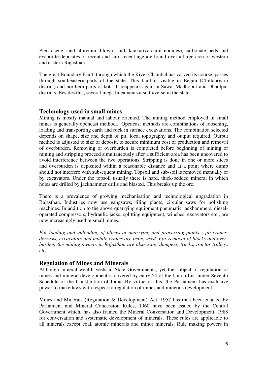Pleistocene sand alluvium, blown sand, kankar(calcium nodules), carbonate beds and evaporite deposites of recent and sub- recent age are found over a large area of western and eastern Rajasthan.

The great Boundary Fault, through which the River Chambal has carved its course, passes through southeastern parts of the state. This fault is visible in Begun (Chittaurgarh district) and northern parts of kota. It reappears again in Sawai Madhopur and Dhaulpur districts. Besides this, several mega lineaments also traverse in the state.

# **Technology used in small mines**

Mining is mostly manual and labour oriented. The mining method employed in small mines is generally opencast method... Opencast methods are combinations of loosening, loading and transporting earth and rock in surface excavations. The combination selected depends on shape, size and depth of pit, local topography and output required. Output method is adjusted to size of deposit, to secure minimum cost of production and removal of overburden. Removing of overburden is completed before beginning of mining or mining and stripping proceed simultaneously after a sufficient area has been uncovered to avoid interference between the two operations. Stripping is done in one or more slices and overburden is deposited within a reasonable distance and at a point where dump should not interfere with subsequent mining. Topsoil and sub-soil is removed manually or by excavators. Under the topsoil usually there is hard, thick-bedded mineral in which holes are drilled by jackhammer drills and blasted. This breaks up the ore.

There is a prevalence of growing mechanisation and technological upgradation in Rajasthan. Industries now use gangsaws, tiling plants, circular saws for polishing machines. In addition to the above quarrying equipment pneumatic jackhammers, dieseloperated compressors, hydraulic jacks, splitting equipment, winches, excavators etc., are now increasingly used in small mines.

*For loading and unloading of blocks at quarrying and processing plants - jib cranes, derricks, excavators and mobile cranes are being used. For removal of blocks and overburden; the mining owners in Rajasthan are also using dumpers, trucks, tractor trolleys etc.* 

# **Regulation of Mines and Minerals**

Although mineral wealth vests in State Governments, yet the subject of regulation of mines and mineral development is covered by entry 54 of the Union List under Seventh Schedule of the Constitution of India. By virtue of this, the Parliament has exclusive power to make laws with respect to regulation of mines and minerals development.

Mines and Minerals (Regulation & Development) Act, 1957 has thus been enacted by Parliament and Mineral Concession Rules, 1960 have been issued by the Central Government which, has also framed the Mineral Conversation and Development, 1988 for conversation and systematic development of minerals. These rules are applicable to all minerals except coal, atomic minerals and minor minerals. Rule making powers in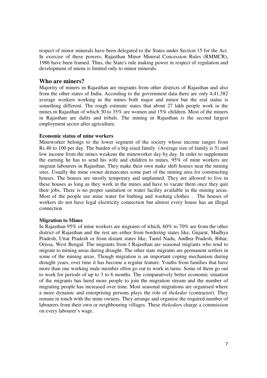respect of minor minerals have been delegated to the States under Section 15 for the Act. In exercise of these powers, Rajasthan Minor Mineral Concession Rules (RMMCR), 1986 have been framed. Thus, the State's rule making power in respect of regulation and development of miens is limited only to minor minerals.

## **Who are miners?**

Majority of miners in Rajasthan are migrants from other districts of Rajasthan and also from the other states of India. According to the government data there are only 4,41,382 average workers working in the mines both major and minor but the real status is something different. The rough estimate states that about 27 lakh people work in the mines in Rajasthan of which 30 to 35% are women and 15% children. Most of the miners in Rajasthan are dalits and tribals. The mining in Rajasthan is the second largest employment sector after agriculture.

#### **Economic status of mine workers**

Mineworker belongs to the lower segment of the society whose income ranges from Rs.40 to 100 per day. The burden of a big sized family (Average size of family is 5) and low income from the mines weakens the mineworker day by day. In order to supplement the earning he has to send his wife and children to mines. 95% of mine workers are migrant labourers in Rajasthan. They make their own make shift houses near the mining sites. Usually the mine owner demarcates some part of the mining area for constructing houses. The houses are mostly temporary and unplanned. They are allowed to live in these houses as long as they work in the mines and have to vacate them once they quit their jobs. There is no proper sanitation or water facility available in the mining areas. Most of the people use mine water for bathing and washing clothes . The houses of workers do not have legal electricity connection but almost every house has an illegal connection

#### **Migration to Mines**

In Rajasthan 95% of mine workers are migrants of which, 60% to 70% are from the other district of Rajasthan and the rest are either from bordering states like, Gujarat, Madhya Pradesh, Uttar Pradesh or from distant states like, Tamil Nadu, Andhra Pradesh, Bihar, Orissa, West Bengal. The migrants from f Rajasthan are seasonal migrants who tend to migrate to mining areas during drought. The other state migrants are permanent settlers in some of the mining areas. Though migration is an important coping mechanism during drought years, over time it has become a regular feature. Youths from families that have more than one working male member often go out to work in turns. Some of them go out to work for periods of up to 3 to 6 months. The comparatively better economic situation of the migrants has lured more people to join the migration stream and the number of migrating people has increased over time. Most seasonal migrations are organised where a more dynamic and enterprising persons plays the role of *thekedar* (contractor). They remain in touch with the mine owners. They arrange and organise the required number of labourers from their own or neighbouring villages. These *thekedar*s charge a commission on every labourer's wage.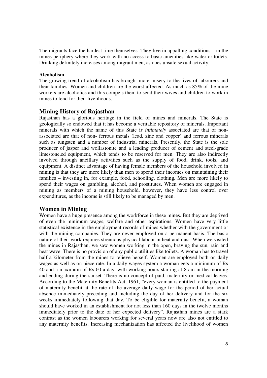The migrants face the hardest time themselves. They live in appalling conditions – in the mines periphery where they work with no access to basic amenities like water or toilets. Drinking definitely increases among migrant men, as does unsafe sexual activity.

#### **Alcoholism**

The growing trend of alcoholism has brought more misery to the lives of labourers and their families. Women and children are the worst affected. As much as 85% of the mine workers are alcoholics and this compels them to send their wives and children to work in mines to fend for their livelihoods.

# **Mining History of Rajasthan**

Rajasthan has a glorious heritage in the field of mines and minerals. The State is geologically so endowed that it has become a veritable repository of minerals. Important minerals with which the name of this State i*s intimately* associated are that of nonassociated are that of non- ferrous metals (lead, zinc and copper) and ferrous minerals such as tungsten and a number of industrial minerals. Presently, the State is the sole producer of jasper and wollastonite and a leading producer of cement and steel-grade limestone,ed equipment, which tends to be reserved for men. They are also indirectly involved through ancillary activities such as the supply of food, drink, tools, and equipment. A distinct advantage of having female members of the household involved in mining is that they are more likely than men to spend their incomes on maintaining their families – investing in, for example, food, schooling, clothing. Men are more likely to spend their wages on gambling, alcohol, and prostitutes. When women are engaged in mining as members of a mining household, however, they have less control over expenditures, as the income is still likely to be managed by men.

# **Women in Mining**

Women have a huge presence among the workforce in these mines. But they are deprived of even the minimum wages, welfare and other aspirations. Women have very little statistical existence in the employment records of mines whether with the government or with the mining companies. They are never employed on a permanent basis. The basic nature of their work requires strenuous physical labour in heat and dust. When we visited the mines in Rajasthan, we saw women working in the open, braving the sun, rain and heat wave. There is no provision of any public utilities like toilets. A woman has to travel half a kilometer from the mines to relieve herself. Women are employed both on daily wages as well as on piece rate. In a daily wages system a woman gets a minimum of Rs 40 and a maximum of Rs 60 a day, with working hours starting at 8 am in the morning and ending during the sunset. There is no concept of paid, maternity or medical leaves. According to the Maternity Benefits Act, 1961, "every woman is entitled to the payment of maternity benefit at the rate of the average daily wage for the period of her actual absence immediately preceding and including the day of her delivery and for the six weeks immediately following that day. To be eligible for maternity benefit, a woman should have worked in an establishment for not less than 160 days in the twelve months immediately prior to the date of her expected delivery". Rajasthan mines are a stark contrast as the women labourers working for several years now are also not entitled to any maternity benefits. Increasing mechanization has affected the livelihood of women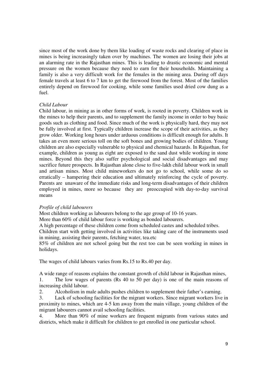since most of the work done by them like loading of waste rocks and clearing of place in mines is being increasingly taken over by machines. The women are losing their jobs at an alarming rate in the Rajasthan mines. This is leading to drastic economic and mental pressure on the women because they need to earn for their households. Maintaining a family is also a very difficult work for the females in the mining area. During off days female travels at least 6 to 7 km to get the firewood from the forest. Most of the families entirely depend on firewood for cooking, while some families used dried cow dung as a fuel.

#### *Child Labour*

Child labour, in mining as in other forms of work, is rooted in poverty. Children work in the mines to help their parents, and to supplement the family income in order to buy basic goods such as clothing and food. Since much of the work is physically hard, they may not be fully involved at first. Typically children increase the scope of their activities, as they grow older. Working long hours under arduous conditions is difficult enough for adults. It takes an even more serious toll on the soft bones and growing bodies of children. Young children are also especially vulnerable to physical and chemical hazards. In Rajasthan, for example, children as young as eight are exposed to the sand dust while working in stone mines. Beyond this they also suffer psychological and social disadvantages and may sacrifice future prospects. In Rajasthan alone close to five-lakh child labour work in small and artisan mines. Most child mineworkers do not go to school, while some do so erratically – hampering their education and ultimately reinforcing the cycle of poverty. Parents are unaware of the immediate risks and long-term disadvantages of their children employed in mines, more so because they are preoccupied with day-to-day survival means

#### *Profile of child labourers*

Most children working as labourers belong to the age group of 10-16 years.

More than 60% of child labour force is working as bonded labourers.

A high percentage of these children come from scheduled castes and scheduled tribes.

Children start with getting involved in activities like taking care of the instruments used in mining, assisting their parents, fetching water, tea.etc

85% of children are not school going but the rest too can be seen working in mines in holidays.

The wages of child labours varies from Rs.15 to Rs.40 per day.

A wide range of reasons explains the constant growth of child labour in Rajasthan mines,

1. The low wages of parents (Rs 40 to 50 per day) is one of the main reasons of increasing child labour.

2. Alcoholism in male adults pushes children to supplement their father's earning.

3. Lack of schooling facilities for the migrant workers. Since migrant workers live in proximity to mines, which are 4-5 km away from the main village, young children of the migrant labourers cannot avail schooling facilities.

4. More than 90% of mine workers are frequent migrants from various states and districts, which make it difficult for children to get enrolled in one particular school.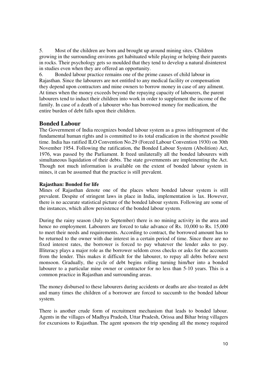5. Most of the children are born and brought up around mining sites. Children growing in the surrounding environs get habituated while playing or helping their parents in rocks. Their psychology gets so moulded that they tend to develop a natural disinterest in studies even when they are offered an opportunity.

6. Bonded labour practice remains one of the prime causes of child labour in Rajasthan. Since the labourers are not entitled to any medical facility or compensation they depend upon contractors and mine owners to borrow money in case of any ailment. At times when the money exceeds beyond the repaying capacity of labourers, the parent labourers tend to induct their children into work in order to supplement the income of the family. In case of a death of a labourer who has borrowed money for medication, the entire burden of debt falls upon their children.

# **Bonded Labour**

The Government of India recognizes bonded labour system as a gross infringement of the fundamental human rights and is committed to its total eradication in the shortest possible time. India has ratified ILO Convention No.29 (Forced Labour Convention 1930) on 30th November 1954. Following the ratification, the Bonded Labour System (Abolition) Act, 1976, was passed by the Parliament. It freed unilaterally all the bonded labourers with simultaneous liquidation of their debts. The state governments are implementing the Act. Though not much information is available on the extent of bonded labour system in mines, it can be assumed that the practice is still prevalent.

# **Rajasthan: Bonded for life**

Mines of Rajasthan denote one of the places where bonded labour system is still prevalent. Despite of stringent laws in place in India, implementation is lax. However, there is no accurate statistical picture of the bonded labour system. Following are some of the instances, which allow persistence of the bonded labour system.

During the rainy season (July to September) there is no mining activity in the area and hence no employment. Labourers are forced to take advance of Rs. 10,000 to Rs. 15,000 to meet their needs and requirements. According to contract, the borrowed amount has to be returned to the owner with due interest in a certain period of time. Since there are no fixed interest rates, the borrower is forced to pay whatever the lender asks to pay. Illiteracy plays a major role as the borrower seldom cross checks or asks for the accounts from the lender. This makes it difficult for the labourer, to repay all debts before next monsoon. Gradually, the cycle of debt begins rolling turning him/her into a bonded labourer to a particular mine owner or contractor for no less than 5-10 years. This is a common practice in Rajasthan and surrounding areas.

The money disbursed to these labourers during accidents or deaths are also treated as debt and many times the children of a borrower are forced to succumb to the bonded labour system.

There is another crude form of recruitment mechanism that leads to bonded labour. Agents in the villages of Madhya Pradesh, Uttar Pradesh, Orissa and Bihar bring villagers for excursions to Rajasthan. The agent sponsors the trip spending all the money required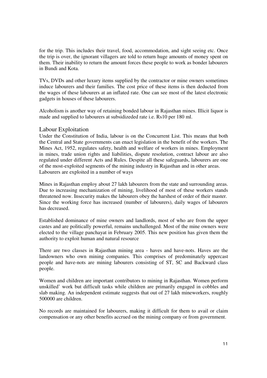for the trip. This includes their travel, food, accommodation, and sight seeing etc. Once the trip is over, the ignorant villagers are told to return huge amounts of money spent on them. Their inability to return the amount forces these people to work as bonder labourers in Bundi and Kota.

TVs, DVDs and other luxury items supplied by the contractor or mine owners sometimes induce labourers and their families. The cost price of these items is then deducted from the wages of these labourers at an inflated rate. One can see most of the latest electronic gadgets in houses of these labourers.

Alcoholism is another way of retaining bonded labour in Rajasthan mines. Illicit liquor is made and supplied to labourers at subsidizeded rate i.e. Rs10 per 180 ml.

# Labour Exploitation

Under the Constitution of India, labour is on the Concurrent List. This means that both the Central and State governments can enact legislation in the benefit of the workers. The Mines Act, 1952, regulates safety, health and welfare of workers in mines. Employment in mines, trade union rights and liabilities, dispute resolution, contract labour are also regulated under different Acts and Rules. Despite all these safeguards, labourers are one of the most-exploited segments of the mining industry in Rajasthan and in other areas. Labourers are exploited in a number of ways

Mines in Rajasthan employ about 27 lakh labourers from the state and surrounding areas. Due to increasing mechanization of mining, livelihood of most of these workers stands threatened now. Insecurity makes the labourers obey the harshest of order of their master. Since the working force has increased (number of labourers), daily wages of labourers has decreased.

Established dominance of mine owners and landlords, most of who are from the upper castes and are politically powerful, remains unchallenged. Most of the mine owners were elected to the village panchayat in February 2005. This new position has given them the authority to exploit human and natural resource

There are two classes in Rajasthan mining area - haves and have-nots. Haves are the landowners who own mining companies. This comprises of predominately uppercast people and have-nots are mining labourers consisting of ST, SC and Backward class people.

Women and children are important contributors to mining in Rajasthan. Women perform unskilled' work but difficult tasks while children are primarily engaged in cobbles and slab making. An independent estimate suggests that out of 27 lakh mineworkers, roughly 500000 are children.

No records are maintained for labourers, making it difficult for them to avail or claim compensation or any other benefits accrued on the mining company or from government.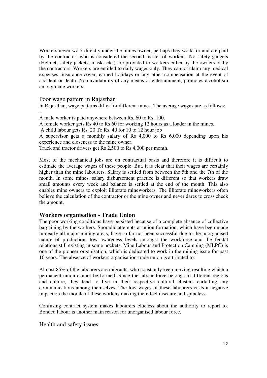Workers never work directly under the mines owner, perhaps they work for and are paid by the contractor, who is considered the second master of workers. No safety gadgets (Helmet, safety jackets, masks etc.) are provided to workers either by the owners or by the contractors. Workers are entitled to daily wages only. They cannot claim any medical expenses, insurance cover, earned holidays or any other compensation at the event of accident or death. Non availability of any means of entertainment, promotes alcoholism among male workers

Poor wage pattern in Rajasthan

In Rajasthan, wage patterns differ for different mines. The average wages are as follows: -

A male worker is paid anywhere between Rs. 60 to Rs. 100.

A female worker gets Rs 40 to Rs 60 for working 12 hours as a loader in the mines.

A child labour gets Rs. 20 To Rs. 40 for 10 to 12 hour job

A supervisor gets a monthly salary of Rs 4,000 to Rs 6,000 depending upon his experience and closeness to the mine owner.

Truck and tractor drivers get Rs 2,500 to Rs 4,000 per month.

Most of the mechanical jobs are on contractual basis and therefore it is difficult to estimate the average wages of these people. But, it is clear that their wages are certainly higher than the mine labourers. Salary is settled from between the 5th and the 7th of the month. In some mines, salary disbursement practice is different so that workers draw small amounts every week and balance is settled at the end of the month. This also enables mine owners to exploit illiterate mineworkers. The illiterate mineworkers often believe the calculation of the contractor or the mine owner and never dares to cross check the amount.

# **Workers organisation - Trade Union**

The poor working conditions have persisted because of a complete absence of collective bargaining by the workers. Sporadic attempts at union formation, which have been made in nearly all major mining areas, have so far not been successful due to the unorganised nature of production, low awareness levels amongst the workforce and the feudal relations still existing in some pockets. Mine Labour and Protection Camping (MLPC) is one of the pioneer organisation, which is dedicated to work in the mining issue for past 10 years. The absence of workers organisation-trade union is attributed to:

Almost 85% of the labourers are migrants, who constantly keep moving resulting which a permanent union cannot be formed. Since the labour force belongs to different regions and culture, they tend to live in their respective cultural clusters curtailing any communications among themselves. The low wages of these labourers casts a negative impact on the morale of these workers making them feel insecure and spineless.

Confusing contract system makes labourers clueless about the authority to report to. Bonded labour is another main reason for unorganised labour force.

Health and safety issues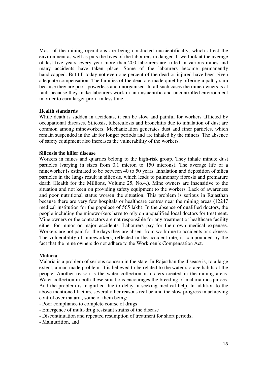Most of the mining operations are being conducted unscientifically, which affect the environment as well as puts the lives of the labourers in danger. If we look at the average of last five years, every year more than 200 labourers are killed in various mines and many accidents have taken place. Some of the labourers become permanently handicapped. But till today not even one percent of the dead or injured have been given adequate compensation. The families of the dead are made quiet by offering a paltry sum because they are poor, powerless and unorganised. In all such cases the mine owners is at fault because they make labourers work in an unscientific and uncontrolled environment in order to earn larger profit in less time.

#### **Health standards**

While death is sudden in accidents, it can be slow and painful for workers afflicted by occupational diseases. Silicosis, tuberculosis and bronchitis due to inhalation of dust are common among mineworkers. Mechanization generates dust and finer particles, which remain suspended in the air for longer periods and are inhaled by the miners. The absence of safety equipment also increases the vulnerability of the workers.

#### **Silicosis the killer disease**

Workers in mines and quarries belong to the high-risk group. They inhale minute dust particles (varying in sizes from 0.1 micron to 150 microns). The average life of a mineworker is estimated to be between 40 to 50 years. Inhalation and deposition of silica particles in the lungs result in silicosis, which leads to pulmonary fibrosis and premature death (Health for the Millions, Volume 25, No.4.). Mine owners are insensitive to the situation and not keen on providing safety equipment to the workers. Lack of awareness and poor nutritional status worsen the situation. This problem is serious in Rajasthan because there are very few hospitals or healthcare centres near the mining areas (12247 medical institution for the populace of 565 lakh). In the absence of qualified doctors, the people including the mineworkers have to rely on unqualified local doctors for treatment. Mine owners or the contractors are not responsible for any treatment or healthcare facility either for minor or major accidents. Labourers pay for their own medical expenses. Workers are not paid for the days they are absent from work due to accidents or sickness. The vulnerability of mineworkers, reflected in the accident rate, is compounded by the fact that the mine owners do not adhere to the Workmen's Compensation Act.

#### **Malaria**

Malaria is a problem of serious concern in the state. In Rajasthan the disease is, to a large extent, a man made problem. It is believed to be related to the water storage habits of the people. Another reason is the water collection in craters created in the mining areas. Water collection in both these situations encourages the breeding of malaria mosquitoes. And the problem is magnified due to delay in seeking medical help. In addition to the above mentioned factors, several other reasons reel behind the slow progress in achieving control over malaria, some of them being:

- Poor compliance to complete course of drugs
- Emergence of multi-drug resistant strains of the disease
- Discontinuation and repeated resumption of treatment for short periods,
- Malnutrition, and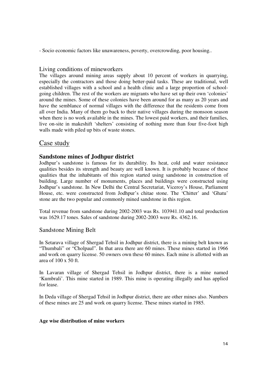- Socio economic factors like unawareness, poverty, overcrowding, poor housing..

# Living conditions of mineworkers

The villages around mining areas supply about 10 percent of workers in quarrying, especially the contractors and those doing better-paid tasks. These are traditional, well established villages with a school and a health clinic and a large proportion of schoolgoing children. The rest of the workers are migrants who have set up their own 'colonies' around the mines. Some of these colonies have been around for as many as 20 years and have the semblance of normal villages with the difference that the residents come from all over India. Many of them go back to their native villages during the monsoon season when there is no work available in the mines. The lowest paid workers, and their families, live on-site in makeshift 'shelters' consisting of nothing more than four five-foot high walls made with piled up bits of waste stones.

# Case study

# **Sandstone mines of Jodhpur district**

Jodhpur's sandstone is famous for its durability. Its heat, cold and water resistance qualities besides its strength and beauty are well known. It is probably because of these qualities that the inhabitants of this region started using sandstone in construction of building. Large number of monuments, places and buildings were constructed using Jodhpur's sandstone. In New Delhi the Central Secretariat, Viceroy's House, Parliament House, etc. were constructed from Jodhpur's chitae stone. The 'Chitter' and 'Ghatu' stone are the two popular and commonly mined sandstone in this region.

Total revenue from sandstone during 2002-2003 was Rs. 103941.10 and total production was 1629.17 tones. Sales of sandstone during 2002-2003 were Rs. 4362.16.

## Sandstone Mining Belt

In Setarava village of Shergad Tehsil in Jodhpur district, there is a mining belt known as "Thumbali" or "Cholpaul". In that area there are 60 mines. These mines started in 1966 and work on quarry license. 50 owners own these 60 mines. Each mine is allotted with an area of 100 x 50 ft.

In Lavaran village of Shergad Tehsil in Jodhpur district, there is a mine named 'Kumbrali'. This mine started in 1989. This mine is operating illegally and has applied for lease.

In Deda village of Shergad Tehsil in Jodhpur district, there are other mines also. Numbers of these mines are 25 and work on quarry license. These mines started in 1985.

## **Age wise distribution of mine workers**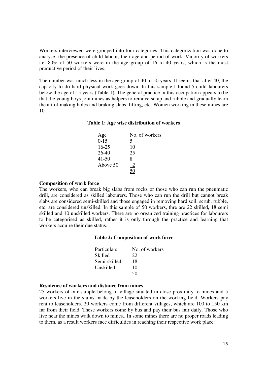Workers interviewed were grouped into four categories. This categorization was done to analyse the presence of child labour, their age and period of work. Majority of workers i.e. 80% of 50 workers were in the age group of 16 to 40 years, which is the most productive period of their lives.

The number was much less in the age group of 40 to 50 years. It seems that after 40, the capacity to do hard physical work goes down. In this sample I found 5-child labourers below the age of 15 years (Table 1). The general practice in this occupation appears to be that the young boys join mines as helpers to remove scrap and rubble and gradually learn the art of making holes and braking slabs, lifting, etc. Women working in these mines are 10.

#### **Table 1: Age wise distribution of workers**

| Age       | No. of workers |
|-----------|----------------|
| $0-15$    | 5              |
| $16 - 25$ | 10             |
| 26-40     | 25             |
| $41 - 50$ | 8              |
| Above 50  | 2              |
|           |                |

#### **Composition of work force**

The workers, who can break big slabs from rocks or those who can run the pneumatic drill, are considered as skilled labourers. Those who can run the drill but cannot break slabs are considered semi-skilled and those engaged in removing hard soil, scrub, rubble, etc. are considered unskilled. In this sample of 50 workers, thre are 22 skilled, 18 semi skilled and 10 unskilled workers. There are no organized training practices for labourers to be categorised as skilled, rather it is only through the practice and learning that workers acquire their due status.

#### **Table 2: Composition of work force**

| Particulars  | No. of workers |
|--------------|----------------|
| Skilled      | 22             |
| Semi-skilled | 18             |
| Unskilled    | 10             |
|              | 50             |

#### **Residence of workers and distance from mines**

25 workers of our sample belong to village situated in close proximity to mines and 5 workers live in the slums made by the leaseholders on the working field. Workers pay rent to leaseholders. 20 workers come from different villages, which are 100 to 150 km far from their field. These workers come by bus and pay their bus fair daily. Those who live near the mines walk down to mines.. In some mines there are no proper roads leading to them, as a result workers face difficulties in reaching their respective work place.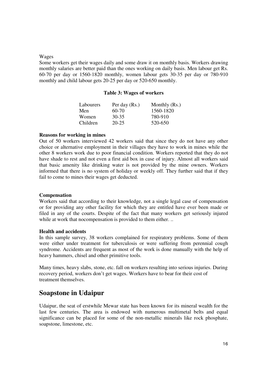#### Wages

Some workers get their wages daily and some draw it on monthly basis. Workers drawing monthly salaries are better paid than the ones working on daily basis. Men labour get Rs. 60-70 per day or 1560-1820 monthly, women labour gets 30-35 per day or 780-910 monthly and child labour gets 20-25 per day or 520-650 monthly.

#### **Table 3: Wages of workers**

| Labourers | Per day $(Rs.)$ | Monthly $(Rs.)$ |
|-----------|-----------------|-----------------|
| Men       | 60-70           | 1560-1820       |
| Women     | 30-35           | 780-910         |
| Children  | $20 - 25$       | 520-650         |

#### **Reasons for working in mines**

Out of 50 workers interviewed 42 workers said that since they do not have any other choice or alternative employment in their villages they have to work in mines while the other 8 workers work due to poor financial condition. Workers reported that they do not have shade to rest and not even a first aid box in case of injury. Almost all workers said that basic amenity like drinking water is not provided by the mine owners. Workers informed that there is no system of holiday or weekly off. They further said that if they fail to come to mines their wages get deducted.

#### **Compensation**

Workers said that according to their knowledge, not a single legal case of compensation or for providing any other facility for which they are entitled have ever been made or filed in any of the courts. Despite of the fact that many workers get seriously injured while at work that no compensation is provided to them either...

#### **Health and accidents**

In this sample survey, 38 workers complained for respiratory problems. Some of them were either under treatment for tuberculosis or were suffering from perennial cough syndrome. Accidents are frequent as most of the work is done manually with the help of heavy hammers, chisel and other primitive tools.

Many times, heavy slabs, stone, etc. fall on workers resulting into serious injuries. During recovery period, workers don't get wages. Workers have to bear for their cost of treatment themselves.

# **Soapstone in Udaipur**

Udaipur, the seat of erstwhile Mewar state has been known for its mineral wealth for the last few centuries. The area is endowed with numerous multimetal belts and equal significance can be placed for some of the non-metallic minerals like rock phosphate, soapstone, limestone, etc.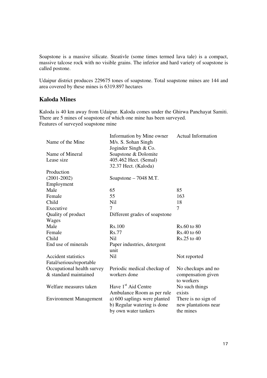Soapstone is a massive silicate. Steativle (some times termed lava tale) is a compact, massive talcose rock with no visible grains. The inferior and hard variety of soapstone is called postone.

Udaipur district produces 229675 tones of soapstone. Total soapstone mines are 144 and area covered by these mines is 6319.897 hectares

# **Kaloda Mines**

Kaloda is 40 km away from Udaipur. Kaloda comes under the Ghirwa Panchayat Samiti. There are 5 mines of soapstone of which one mine has been surveyed. Features of surveyed soapstone mine

| No checkups and no   |
|----------------------|
| compensation given   |
|                      |
|                      |
|                      |
| There is no sign of  |
| new plantations near |
|                      |
|                      |